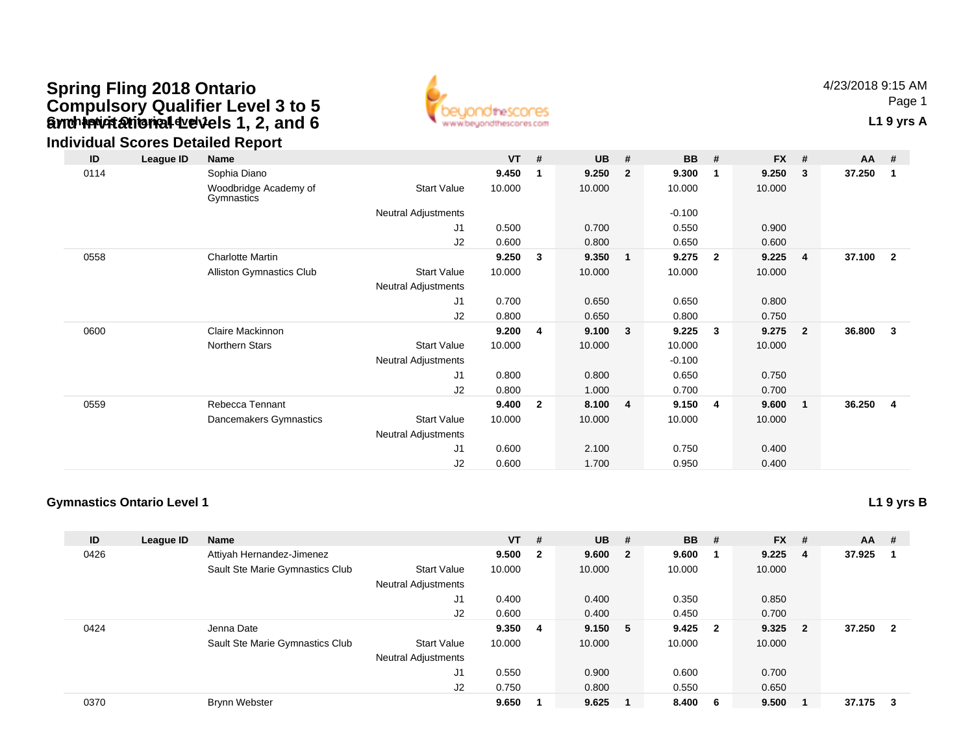## **Gynch invitational develops 1, 2, and 6** The Contact of Contact Contact Contact Contact Contact Contact Contact Contact Contact Contact Contact Contact Contact Contact Contact Contact Contact Contact Contact Contact Conta **Spring Fling 2018 Ontario Compulsory Qualifier Level 3 to 5 and Invitational Levels 1, 2, and 6**



4/23/2018 9:15 AMPage 1

### **Individual Scores Detailed Report**

| ID   | League ID | Name                                |                            | <b>VT</b> | #              | <b>UB</b> | #              | <b>BB</b> | #                       | <b>FX</b> | #            | AA     | - #                     |
|------|-----------|-------------------------------------|----------------------------|-----------|----------------|-----------|----------------|-----------|-------------------------|-----------|--------------|--------|-------------------------|
| 0114 |           | Sophia Diano                        |                            | 9.450     | 1              | 9.250     | $\overline{2}$ | 9.300     | $\mathbf 1$             | 9.250     | 3            | 37.250 | -1                      |
|      |           | Woodbridge Academy of<br>Gymnastics | <b>Start Value</b>         | 10.000    |                | 10.000    |                | 10.000    |                         | 10.000    |              |        |                         |
|      |           |                                     | Neutral Adjustments        |           |                |           |                | $-0.100$  |                         |           |              |        |                         |
|      |           |                                     | J1                         | 0.500     |                | 0.700     |                | 0.550     |                         | 0.900     |              |        |                         |
|      |           |                                     | J2                         | 0.600     |                | 0.800     |                | 0.650     |                         | 0.600     |              |        |                         |
| 0558 |           | <b>Charlotte Martin</b>             |                            | 9.250     | 3              | 9.350     | $\mathbf{1}$   | 9.275     | $\overline{\mathbf{2}}$ | 9.225     | 4            | 37.100 | $\overline{\mathbf{2}}$ |
|      |           | <b>Alliston Gymnastics Club</b>     | <b>Start Value</b>         | 10.000    |                | 10.000    |                | 10.000    |                         | 10.000    |              |        |                         |
|      |           |                                     | Neutral Adjustments        |           |                |           |                |           |                         |           |              |        |                         |
|      |           |                                     | J1                         | 0.700     |                | 0.650     |                | 0.650     |                         | 0.800     |              |        |                         |
|      |           |                                     | J2                         | 0.800     |                | 0.650     |                | 0.800     |                         | 0.750     |              |        |                         |
| 0600 |           | Claire Mackinnon                    |                            | 9.200     | 4              | 9.100     | 3              | 9.225     | -3                      | 9.275     | $\mathbf{2}$ | 36.800 | 3                       |
|      |           | Northern Stars                      | <b>Start Value</b>         | 10.000    |                | 10.000    |                | 10.000    |                         | 10.000    |              |        |                         |
|      |           |                                     | Neutral Adjustments        |           |                |           |                | $-0.100$  |                         |           |              |        |                         |
|      |           |                                     | J1                         | 0.800     |                | 0.800     |                | 0.650     |                         | 0.750     |              |        |                         |
|      |           |                                     | J2                         | 0.800     |                | 1.000     |                | 0.700     |                         | 0.700     |              |        |                         |
| 0559 |           | Rebecca Tennant                     |                            | 9.400     | $\overline{2}$ | 8.100     | $\overline{4}$ | 9.150     | -4                      | 9.600     | 1            | 36.250 | 4                       |
|      |           | Dancemakers Gymnastics              | <b>Start Value</b>         | 10.000    |                | 10.000    |                | 10.000    |                         | 10.000    |              |        |                         |
|      |           |                                     | <b>Neutral Adjustments</b> |           |                |           |                |           |                         |           |              |        |                         |
|      |           |                                     | J1                         | 0.600     |                | 2.100     |                | 0.750     |                         | 0.400     |              |        |                         |
|      |           |                                     | J <sub>2</sub>             | 0.600     |                | 1.700     |                | 0.950     |                         | 0.400     |              |        |                         |

#### **Gymnastics Ontario Level 1**

**L1 9 yrs B**

| ID   | League ID | <b>Name</b>                     |                     | $VT$ # |                | <b>UB</b> | # | <b>BB</b> | - #                     | <b>FX</b> | #   | <b>AA</b> | #                       |
|------|-----------|---------------------------------|---------------------|--------|----------------|-----------|---|-----------|-------------------------|-----------|-----|-----------|-------------------------|
| 0426 |           | Attiyah Hernandez-Jimenez       |                     | 9.500  | $\overline{2}$ | 9.600 2   |   | 9.600     |                         | 9.225     | -4  | 37.925    |                         |
|      |           | Sault Ste Marie Gymnastics Club | <b>Start Value</b>  | 10.000 |                | 10.000    |   | 10.000    |                         | 10.000    |     |           |                         |
|      |           |                                 | Neutral Adjustments |        |                |           |   |           |                         |           |     |           |                         |
|      |           |                                 | J1                  | 0.400  |                | 0.400     |   | 0.350     |                         | 0.850     |     |           |                         |
|      |           |                                 | J2                  | 0.600  |                | 0.400     |   | 0.450     |                         | 0.700     |     |           |                         |
| 0424 |           | Jenna Date                      |                     | 9.350  | 4              | 9.150 5   |   | 9.425     | $\overline{\mathbf{2}}$ | 9.325     | - 2 | 37.250    | $\overline{\mathbf{2}}$ |
|      |           | Sault Ste Marie Gymnastics Club | <b>Start Value</b>  | 10.000 |                | 10.000    |   | 10.000    |                         | 10.000    |     |           |                         |
|      |           |                                 | Neutral Adjustments |        |                |           |   |           |                         |           |     |           |                         |
|      |           |                                 | J1                  | 0.550  |                | 0.900     |   | 0.600     |                         | 0.700     |     |           |                         |
|      |           |                                 | J2                  | 0.750  |                | 0.800     |   | 0.550     |                         | 0.650     |     |           |                         |
| 0370 |           | <b>Brynn Webster</b>            |                     | 9.650  |                | 9.625     |   | 8.400     | - 6                     | 9.500     |     | 37.175    | -3                      |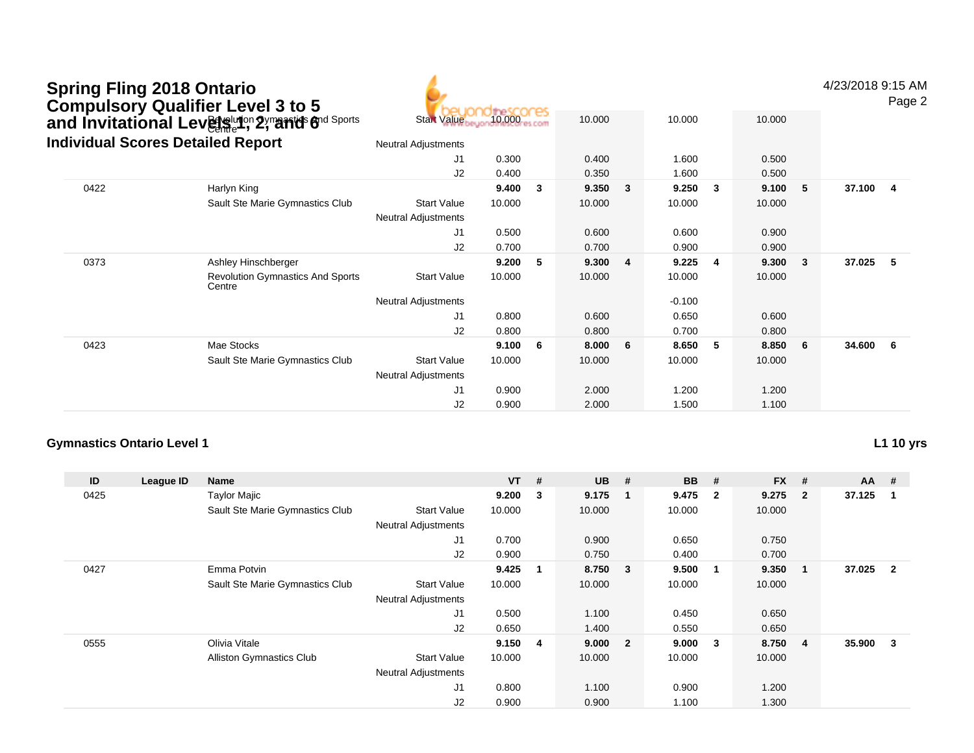# Bayelution 2 ymarrids find Sports Spring Fling 2018 Ontario<br>Compulsory Qualifier Level 3 to 5<br>and Invitational Lev創ৣখ<sup>ন</sup>় 2,ొanত 6



4/23/2018 9:15 AM

Page 2

|      | <b>Individual Scores Detailed Report</b>          | <b>Neutral Adjustments</b><br>J1<br>0.300<br>1.600<br>0.500<br>0.400 |        |   |        |   |          |              |        |     |        |     |
|------|---------------------------------------------------|----------------------------------------------------------------------|--------|---|--------|---|----------|--------------|--------|-----|--------|-----|
|      |                                                   |                                                                      |        |   |        |   |          |              |        |     |        |     |
|      |                                                   | J2                                                                   | 0.400  |   | 0.350  |   | 1.600    |              | 0.500  |     |        |     |
| 0422 | Harlyn King                                       |                                                                      | 9.400  | 3 | 9.350  | 3 | 9.250    | $\mathbf{3}$ | 9.100  | -5  | 37.100 | -4  |
|      | Sault Ste Marie Gymnastics Club                   | <b>Start Value</b>                                                   | 10.000 |   | 10.000 |   | 10.000   |              | 10.000 |     |        |     |
|      |                                                   | <b>Neutral Adjustments</b>                                           |        |   |        |   |          |              |        |     |        |     |
|      |                                                   | J1                                                                   | 0.500  |   | 0.600  |   | 0.600    |              | 0.900  |     |        |     |
|      |                                                   | J <sub>2</sub>                                                       | 0.700  |   | 0.700  |   | 0.900    |              | 0.900  |     |        |     |
| 0373 | Ashley Hinschberger                               |                                                                      | 9.200  | 5 | 9.300  | 4 | 9.225    | -4           | 9.300  | -3  | 37.025 | 5   |
|      | <b>Revolution Gymnastics And Sports</b><br>Centre | <b>Start Value</b>                                                   | 10.000 |   | 10.000 |   | 10.000   |              | 10.000 |     |        |     |
|      |                                                   | <b>Neutral Adjustments</b>                                           |        |   |        |   | $-0.100$ |              |        |     |        |     |
|      |                                                   | J1                                                                   | 0.800  |   | 0.600  |   | 0.650    |              | 0.600  |     |        |     |
|      |                                                   | J2                                                                   | 0.800  |   | 0.800  |   | 0.700    |              | 0.800  |     |        |     |
| 0423 | Mae Stocks                                        |                                                                      | 9.100  | 6 | 8.000  | 6 | 8.650    | 5            | 8.850  | - 6 | 34.600 | - 6 |
|      | Sault Ste Marie Gymnastics Club                   | <b>Start Value</b>                                                   | 10.000 |   | 10.000 |   | 10.000   |              | 10.000 |     |        |     |
|      |                                                   | <b>Neutral Adjustments</b>                                           |        |   |        |   |          |              |        |     |        |     |
|      |                                                   | J1                                                                   | 0.900  |   | 2.000  |   | 1.200    |              | 1.200  |     |        |     |
|      |                                                   | J <sub>2</sub>                                                       | 0.900  |   | 2.000  |   | 1.500    |              | 1.100  |     |        |     |

#### **Gymnastics Ontario Level 1**

**L1 10 yrs**

| ID   | League ID | <b>Name</b>                     |                            | $VT$ #  |              | $UB$ #  |                         | <b>BB</b> | #                       | <b>FX</b> | #              | $AA$ # |                |
|------|-----------|---------------------------------|----------------------------|---------|--------------|---------|-------------------------|-----------|-------------------------|-----------|----------------|--------|----------------|
| 0425 |           | <b>Taylor Majic</b>             |                            | 9.200   | $\mathbf{3}$ | 9.175   | - 1                     | 9.475     | $\overline{\mathbf{2}}$ | 9.275     | $\overline{2}$ | 37.125 |                |
|      |           | Sault Ste Marie Gymnastics Club | <b>Start Value</b>         | 10.000  |              | 10.000  |                         | 10.000    |                         | 10.000    |                |        |                |
|      |           |                                 | <b>Neutral Adjustments</b> |         |              |         |                         |           |                         |           |                |        |                |
|      |           |                                 | J1                         | 0.700   |              | 0.900   |                         | 0.650     |                         | 0.750     |                |        |                |
|      |           |                                 | J2                         | 0.900   |              | 0.750   |                         | 0.400     |                         | 0.700     |                |        |                |
| 0427 |           | Emma Potvin                     |                            | 9.425   | $\mathbf{1}$ | 8.750   | $\overline{\mathbf{3}}$ | 9.500     | $\overline{\mathbf{1}}$ | 9.350     | $\mathbf 1$    | 37.025 | $\overline{2}$ |
|      |           | Sault Ste Marie Gymnastics Club | <b>Start Value</b>         | 10.000  |              | 10.000  |                         | 10.000    |                         | 10.000    |                |        |                |
|      |           |                                 | <b>Neutral Adjustments</b> |         |              |         |                         |           |                         |           |                |        |                |
|      |           |                                 | J1                         | 0.500   |              | 1.100   |                         | 0.450     |                         | 0.650     |                |        |                |
|      |           |                                 | J <sub>2</sub>             | 0.650   |              | 1.400   |                         | 0.550     |                         | 0.650     |                |        |                |
| 0555 |           | Olivia Vitale                   |                            | 9.150 4 |              | 9.000 2 |                         | 9.000     | $\overline{\mathbf{3}}$ | 8.750     | 4              | 35.900 | 3              |
|      |           | <b>Alliston Gymnastics Club</b> | <b>Start Value</b>         | 10.000  |              | 10.000  |                         | 10.000    |                         | 10.000    |                |        |                |
|      |           |                                 | <b>Neutral Adjustments</b> |         |              |         |                         |           |                         |           |                |        |                |
|      |           |                                 | J1                         | 0.800   |              | 1.100   |                         | 0.900     |                         | 1.200     |                |        |                |
|      |           |                                 | J2                         | 0.900   |              | 0.900   |                         | 1.100     |                         | 1.300     |                |        |                |